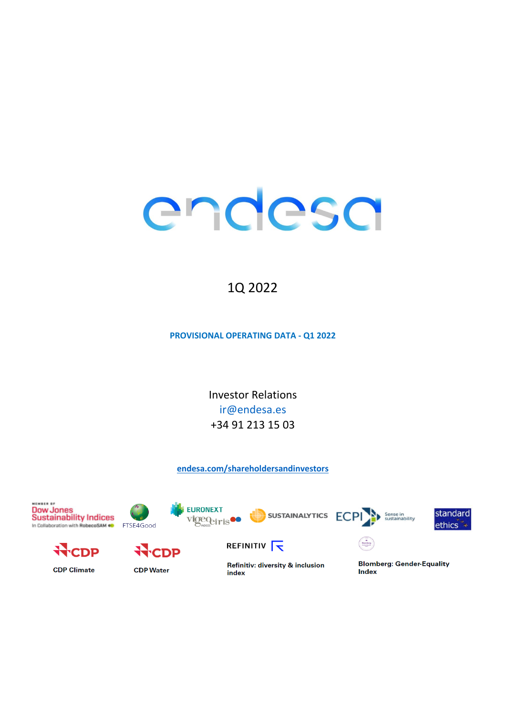# endesa

# 1Q 2022

**PROVISIONAL OPERATING DATA - 01 2022** 

**Investor Relations** ir@endesa.es +34 91 213 15 03

# endesa.com/shareholdersandinvestors

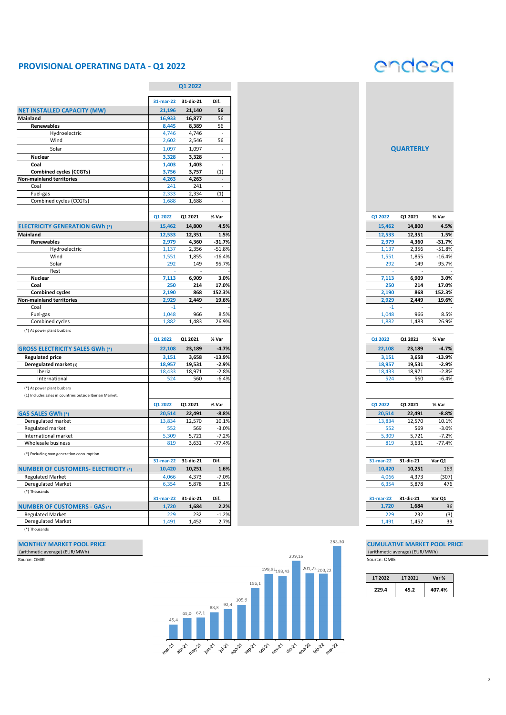# **PROVISIONAL OPERATING DATA - Q1 2022**

# endesa

|                                                         |              | Q1 2022   |                             |
|---------------------------------------------------------|--------------|-----------|-----------------------------|
|                                                         | $31$ -mar-22 | 31-dic-21 | Dif.                        |
| <b>NET INSTALLED CAPACITY (MW)</b>                      | 21,196       | 21,140    | 56                          |
| Mainland                                                | 16,933       | 16,877    | 56                          |
| Renewables                                              | 8,445        | 8,389     | 56                          |
| Hydroelectric                                           | 4,746        | 4,746     | $\sim$                      |
| Wind                                                    | 2,602        | 2,546     | 56                          |
| Solar                                                   | 1,097        | 1,097     | $\overline{\phantom{a}}$    |
| <b>Nuclear</b>                                          | 3,328        | 3,328     | $\blacksquare$              |
| Coal                                                    | 1,403        | 1,403     | $\frac{1}{2}$               |
| <b>Combined cycles (CCGTs)</b>                          | 3,756        | 3,757     | (1)                         |
| <b>Non-mainland territories</b>                         | 4,263        | 4,263     | $\overline{\phantom{a}}$    |
| Coal                                                    | 241          | 241       | $\blacksquare$              |
| Fuel-gas                                                | 2,333        | 2,334     | (1)                         |
| Combined cycles (CCGTs)                                 | 1,688        | 1,688     | $\mathcal{L}_{\mathcal{A}}$ |
|                                                         |              |           |                             |
|                                                         | Q1 2022      | Q1 2021   | % Var                       |
| <b>ELECTRICITY GENERATION GWh (*)</b>                   | 15,462       | 14,800    | 4.5%                        |
| Mainland                                                | 12,533       | 12,351    | 1.5%                        |
| Renewables                                              | 2,979        | 4,360     | $-31.7%$                    |
| Hydroelectric                                           | 1,137        | 2,356     | $-51.8%$                    |
| Wind                                                    | 1,551        | 1,855     | $-16.4%$                    |
| Solar                                                   | 292          | 149       | 95.7%                       |
| Rest                                                    | ä,           | ÷,        |                             |
| Nuclear                                                 | 7,113        | 6,909     | 3.0%                        |
| Coal                                                    | 250          | 214       | 17.0%                       |
| <b>Combined cycles</b>                                  | 2,190        | 868       | 152.3%                      |
| <b>Non-mainland territories</b>                         | 2,929        | 2,449     | 19.6%                       |
| Coal                                                    | $-1$         |           |                             |
| Fuel-gas                                                | 1,048        | 966       | 8.5%                        |
| Combined cycles                                         | 1,882        | 1,483     | 26.9%                       |
| (*) At power plant busbars                              |              |           |                             |
|                                                         | Q1 2022      | Q1 2021   | % Var                       |
| <b>GROSS ELECTRICITY SALES GWh (*)</b>                  | 22,108       | 23,189    | $-4.7%$                     |
| <b>Regulated price</b>                                  | 3,151        | 3,658     | -13.9%                      |
| Deregulated market (1)                                  | 18,957       | 19,531    | $-2.9%$                     |
| Iberia                                                  | 18,433       | 18,971    | $-2.8%$                     |
| International                                           | 524          | 560       | $-6.4%$                     |
| (*) At power plant busbars                              |              |           |                             |
| (1) Includes sales in countries outside Iberian Market. |              |           |                             |
|                                                         |              |           |                             |
|                                                         | Q1 2022      | Q1 2021   | % Var                       |
| GAS SALES GWh (*)                                       | 20,514       | 22,491    | $-8.8%$                     |
| Deregulated market                                      | 13,834       | 12,570    | 10.1%                       |
| Regulated market                                        | 552          | 569       | $-3.0%$                     |
| International market                                    | 5,309        | 5,721     | $-7.2%$                     |
| Wholesale business                                      | 819          | 3,631     | $-77.4%$                    |
| (*) Excluding own generation consumption                |              |           |                             |
|                                                         | 31-mar-22    | 31-dic-21 | Dif.                        |
| <b>NUMBER OF CUSTOMERS- ELECTRICITY (*)</b>             | 10,420       | 10,251    | 1.6%                        |
| <b>Regulated Market</b>                                 | 4,066        | 4,373     | $-7.0%$                     |
| <b>Deregulated Market</b>                               | 6,354        | 5,878     | 8.1%                        |
| (*) Thousands                                           |              |           |                             |
|                                                         | 31-mar-22    | 31-dic-21 | Dif.                        |
| <b>NUMBER OF CUSTOMERS - GAS (*)</b>                    | 1,720        | 1,684     | 2.2%                        |
|                                                         | 229          | 232       | $-1.2%$                     |
| <b>Regulated Market</b><br><b>Deregulated Market</b>    |              | 1,452     |                             |
|                                                         | 1,491        |           | 2.7%                        |

(\*) Thousands



| <b>QUARTERLY</b> |  |
|------------------|--|
|                  |  |

| 1,000   | 1,000   |          |
|---------|---------|----------|
|         |         |          |
| Q1 2022 | Q1 2021 | % Var    |
| 15,462  | 14,800  | 4.5%     |
| 12,533  | 12,351  | 1.5%     |
| 2,979   | 4,360   | $-31.7%$ |
| 1,137   | 2,356   | $-51.8%$ |
| 1,551   | 1,855   | $-16.4%$ |
| 292     | 149     | 95.7%    |
|         |         |          |
| 7,113   | 6,909   | 3.0%     |
| 250     | 214     | 17.0%    |
| 2,190   | 868     | 152.3%   |
| 2,929   | 2,449   | 19.6%    |
| $-1$    |         |          |
| 1,048   | 966     | 8.5%     |
| 1,882   | 1,483   | 26.9%    |
|         |         |          |
|         |         |          |

| <b>Q1 2022</b> | Q1 2021 | % Var    |
|----------------|---------|----------|
| 22,108         | 23,189  | $-4.7%$  |
| 3,151          | 3,658   | $-13.9%$ |
| 18.957         | 19.531  | $-2.9%$  |
| 18,433         | 18,971  | $-2.8%$  |
| 524            | 560     | $-6.4%$  |
|                |         |          |

| 31-mar-22 31-dic-21 |        | Dif.    |
|---------------------|--------|---------|
| 10.420              | 10,251 | 1.6%    |
| 4.066               | 4.373  | $-7.0%$ |
| 6.354               | 5.878  | 8.1%    |
|                     |        |         |

| 31-mar-22 | 31-dic-21 | Var O1 |
|-----------|-----------|--------|
| 1.720     | 1,684     | 36     |
| 229       | 232       | (3)    |
| 1.491     | 1.452     | 39     |

| 1T 2022 | 1T 2021 | Var %  |
|---------|---------|--------|
| 229.4   | 45.2    | 407.4% |